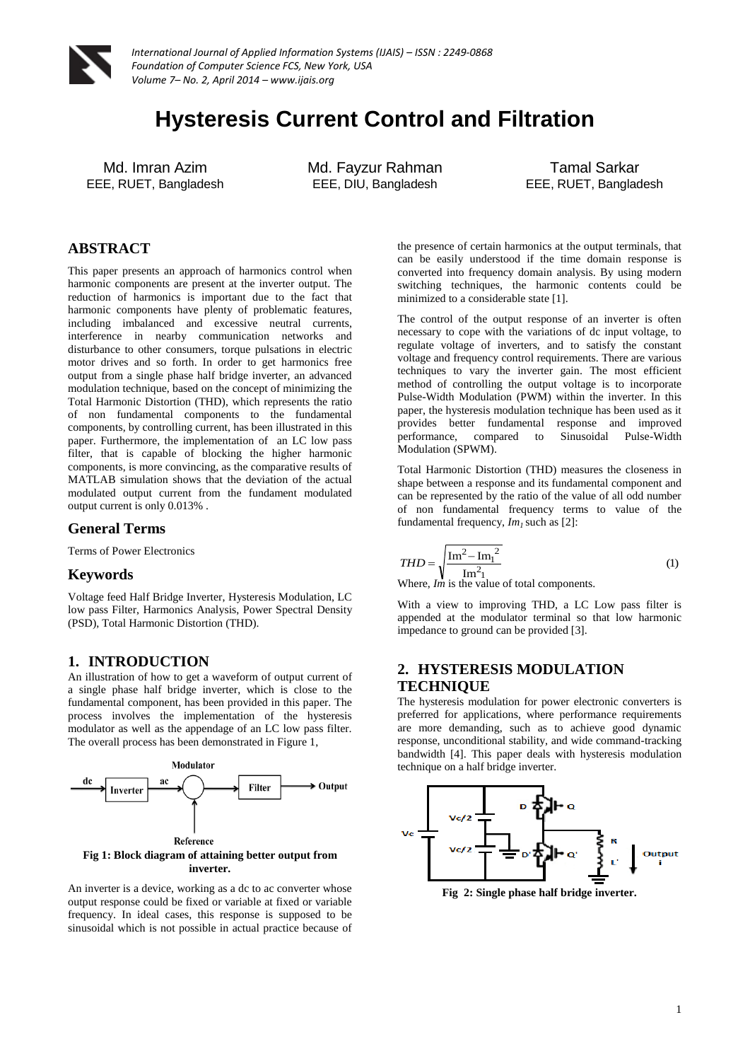

*International Journal of Applied Information Systems (IJAIS) – ISSN : 2249-0868 Foundation of Computer Science FCS, New York, USA Volume 7– No. 2, April 2014 – www.ijais.org*

# **Hysteresis Current Control and Filtration**

Md. Imran Azim EEE, RUET, Bangladesh Md. Fayzur Rahman EEE, DIU, Bangladesh

Tamal Sarkar EEE, RUET, Bangladesh

## **ABSTRACT**

This paper presents an approach of harmonics control when harmonic components are present at the inverter output. The reduction of harmonics is important due to the fact that harmonic components have plenty of problematic features, including imbalanced and excessive neutral currents, interference in nearby communication networks and disturbance to other consumers, torque pulsations in electric motor drives and so forth. In order to get harmonics free output from a single phase half bridge inverter, an advanced modulation technique, based on the concept of minimizing the Total Harmonic Distortion (THD), which represents the ratio of non fundamental components to the fundamental components, by controlling current, has been illustrated in this paper. Furthermore, the implementation of an LC low pass filter, that is capable of blocking the higher harmonic components, is more convincing, as the comparative results of MATLAB simulation shows that the deviation of the actual modulated output current from the fundament modulated output current is only 0.013% .

#### **General Terms**

Terms of Power Electronics

#### **Keywords**

Voltage feed Half Bridge Inverter, Hysteresis Modulation, LC low pass Filter, Harmonics Analysis, Power Spectral Density (PSD), Total Harmonic Distortion (THD).

## **1. INTRODUCTION**

An illustration of how to get a waveform of output current of a single phase half bridge inverter, which is close to the fundamental component, has been provided in this paper. The process involves the implementation of the hysteresis modulator as well as the appendage of an LC low pass filter. The overall process has been demonstrated in Figure 1,



An inverter is a device, working as a dc to ac converter whose output response could be fixed or variable at fixed or variable frequency. In ideal cases, this response is supposed to be sinusoidal which is not possible in actual practice because of

the presence of certain harmonics at the output terminals, that can be easily understood if the time domain response is converted into frequency domain analysis. By using modern switching techniques, the harmonic contents could be minimized to a considerable state [1].

The control of the output response of an inverter is often necessary to cope with the variations of dc input voltage, to regulate voltage of inverters, and to satisfy the constant voltage and frequency control requirements. There are various techniques to vary the inverter gain. The most efficient method of controlling the output voltage is to incorporate Pulse-Width Modulation (PWM) within the inverter. In this paper, the hysteresis modulation technique has been used as it provides better fundamental response and improved performance, compared to Modulation (SPWM).

Total Harmonic Distortion (THD) measures the closeness in shape between a response and its fundamental component and can be represented by the ratio of the value of all odd number of non fundamental frequency terms to value of the fundamental frequency, *Im1* such as [2]:

$$
THD = \sqrt{\frac{\text{Im}^2 - \text{Im}_1^2}{\text{Im}^2_1}}
$$
 (1)

Where, *Im* is the value of total components.

With a view to improving THD, a LC Low pass filter is appended at the modulator terminal so that low harmonic impedance to ground can be provided [3].

## **2. HYSTERESIS MODULATION TECHNIQUE**

The hysteresis modulation for power electronic converters is preferred for applications, where performance requirements are more demanding, such as to achieve good dynamic response, unconditional stability, and wide command-tracking bandwidth [4]. This paper deals with hysteresis modulation technique on a half bridge inverter.



**Fig 2: Single phase half bridge inverter.**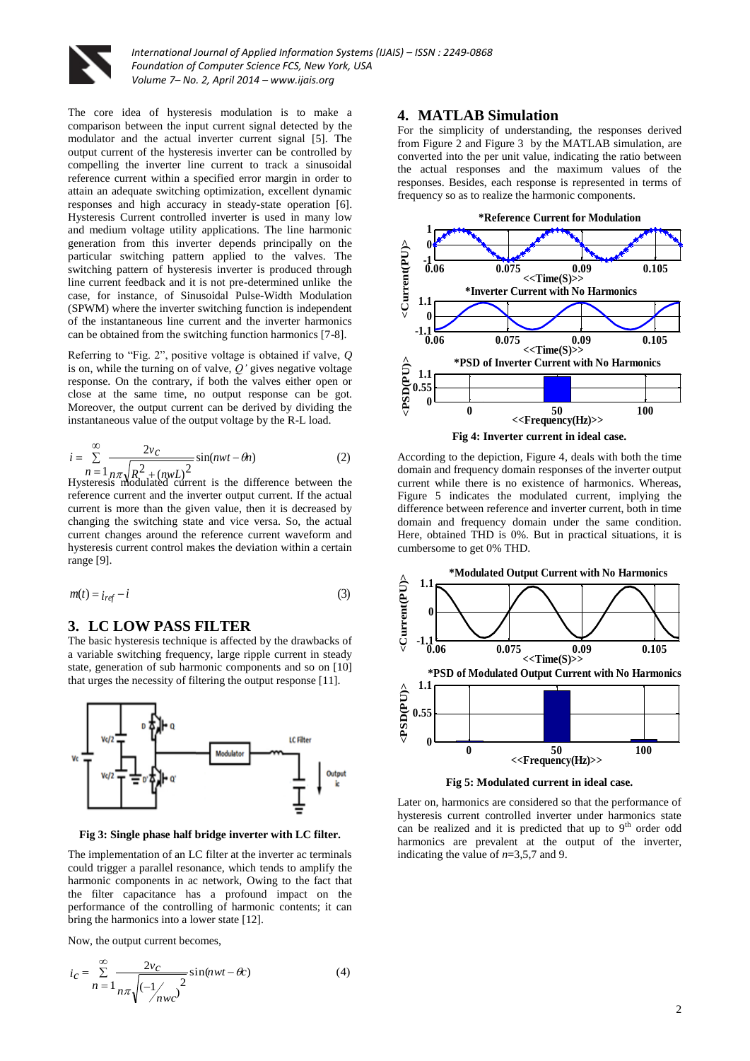

The core idea of hysteresis modulation is to make a comparison between the input current signal detected by the modulator and the actual inverter current signal [5]. The output current of the hysteresis inverter can be controlled by compelling the inverter line current to track a sinusoidal reference current within a specified error margin in order to attain an adequate switching optimization, excellent dynamic responses and high accuracy in steady-state operation [6]. Hysteresis Current controlled inverter is used in many low and medium voltage utility applications. The line harmonic generation from this inverter depends principally on the particular switching pattern applied to the valves. The switching pattern of hysteresis inverter is produced through line current feedback and it is not pre-determined unlike the case, for instance, of Sinusoidal Pulse-Width Modulation (SPWM) where the inverter switching function is independent of the instantaneous line current and the inverter harmonics can be obtained from the switching function harmonics [7-8].

Referring to "Fig. 2", positive voltage is obtained if valve, *Q* is on, while the turning on of valve, *Q'* gives negative voltage response. On the contrary, if both the valves either open or close at the same time, no output response can be got. Moreover, the output current can be derived by dividing the instantaneous value of the output voltage by the R-L load.

$$
i = \sum_{n=1}^{\infty} \frac{2v_c}{n\pi \sqrt{R^2 + (nwL)^2}} \sin(nwt - \theta n)
$$
 (2)  
Hysteresis modulated current is the difference between the

reference current and the inverter output current. If the actual current is more than the given value, then it is decreased by changing the switching state and vice versa. So, the actual current changes around the reference current waveform and hysteresis current control makes the deviation within a certain range [9].

$$
m(t) = i_{ref} - i \tag{3}
$$

## **3. LC LOW PASS FILTER**

The basic hysteresis technique is affected by the drawbacks of a variable switching frequency, large ripple current in steady state, generation of sub harmonic components and so on [10] that urges the necessity of filtering the output response [11].



**Fig 3: Single phase half bridge inverter with LC filter.**

The implementation of an LC filter at the inverter ac terminals could trigger a parallel resonance, which tends to amplify the harmonic components in ac network, Owing to the fact that the filter capacitance has a profound impact on the performance of the controlling of harmonic contents; it can bring the harmonics into a lower state [12].

Now, the output current becomes,

$$
i_C = \sum_{n=1}^{\infty} \frac{2v_C}{n\pi \sqrt{(-\frac{1}{nwc}^2)}} \sin(nwt - \theta c)
$$
 (4)

#### **4. MATLAB Simulation**

For the simplicity of understanding, the responses derived from Figure 2 and Figure 3 by the MATLAB simulation, are converted into the per unit value, indicating the ratio between the actual responses and the maximum values of the responses. Besides, each response is represented in terms of frequency so as to realize the harmonic components.



According to the depiction, Figure 4, deals with both the time domain and frequency domain responses of the inverter output current while there is no existence of harmonics. Whereas, Figure 5 indicates the modulated current, implying the difference between reference and inverter current, both in time domain and frequency domain under the same condition. Here, obtained THD is 0%. But in practical situations, it is cumbersome to get 0% THD.



Later on, harmonics are considered so that the performance of hysteresis current controlled inverter under harmonics state can be realized and it is predicted that up to  $9<sup>th</sup>$  order odd harmonics are prevalent at the output of the inverter, indicating the value of *n*=3,5,7 and 9.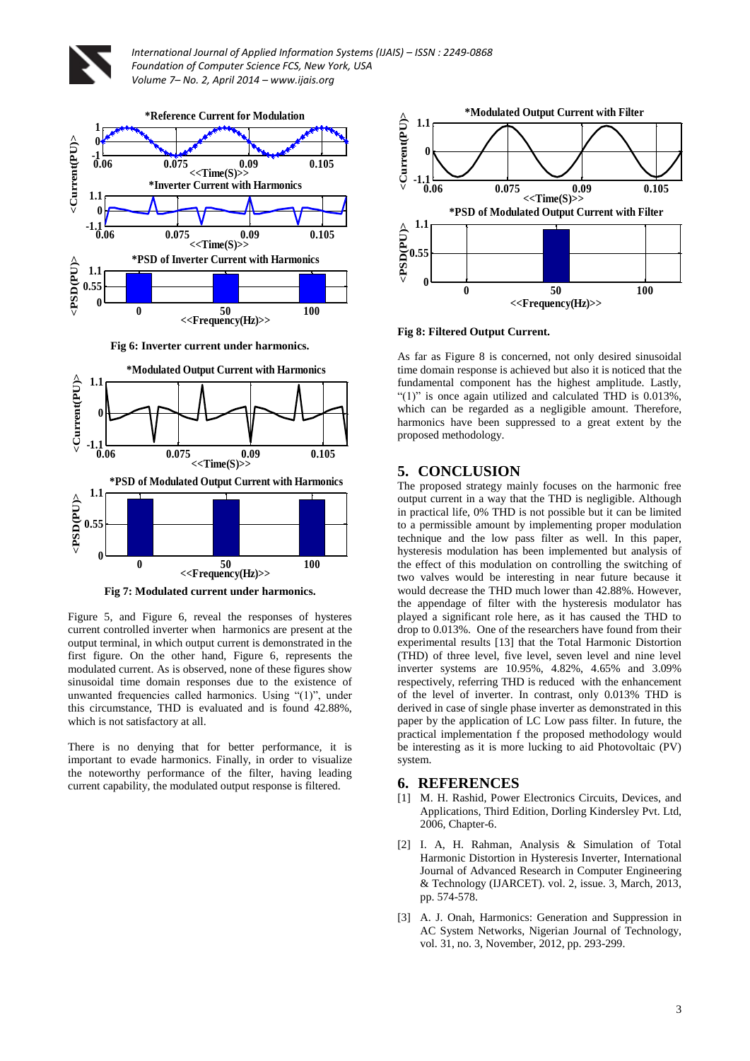

*International Journal of Applied Information Systems (IJAIS) – ISSN : 2249-0868 Foundation of Computer Science FCS, New York, USA Volume 7– No. 2, April 2014 – www.ijais.org*



**Fig 6: Inverter current under harmonics.**



**Fig 7: Modulated current under harmonics.**

Figure 5, and Figure 6, reveal the responses of hysteres current controlled inverter when harmonics are present at the output terminal, in which output current is demonstrated in the first figure. On the other hand, Figure 6, represents the modulated current. As is observed, none of these figures show sinusoidal time domain responses due to the existence of unwanted frequencies called harmonics. Using "(1)", under this circumstance, THD is evaluated and is found 42.88%, which is not satisfactory at all.

There is no denying that for better performance, it is important to evade harmonics. Finally, in order to visualize the noteworthy performance of the filter, having leading current capability, the modulated output response is filtered.



**Fig 8: Filtered Output Current.**

As far as Figure 8 is concerned, not only desired sinusoidal time domain response is achieved but also it is noticed that the fundamental component has the highest amplitude. Lastly, " $(1)$ " is once again utilized and calculated THD is  $0.013\%$ , which can be regarded as a negligible amount. Therefore, harmonics have been suppressed to a great extent by the proposed methodology.

### **5. CONCLUSION**

The proposed strategy mainly focuses on the harmonic free output current in a way that the THD is negligible. Although in practical life, 0% THD is not possible but it can be limited to a permissible amount by implementing proper modulation technique and the low pass filter as well. In this paper, hysteresis modulation has been implemented but analysis of the effect of this modulation on controlling the switching of two valves would be interesting in near future because it would decrease the THD much lower than 42.88%. However, the appendage of filter with the hysteresis modulator has played a significant role here, as it has caused the THD to drop to 0.013%. One of the researchers have found from their experimental results [13] that the Total Harmonic Distortion (THD) of three level, five level, seven level and nine level inverter systems are 10.95%, 4.82%, 4.65% and 3.09% respectively, referring THD is reduced with the enhancement of the level of inverter. In contrast, only 0.013% THD is derived in case of single phase inverter as demonstrated in this paper by the application of LC Low pass filter. In future, the practical implementation f the proposed methodology would be interesting as it is more lucking to aid Photovoltaic (PV) system.

#### **6. REFERENCES**

- [1] M. H. Rashid, Power Electronics Circuits, Devices, and Applications, Third Edition, Dorling Kindersley Pvt. Ltd, 2006, Chapter-6.
- [2] I. A, H. Rahman, Analysis & Simulation of Total Harmonic Distortion in Hysteresis Inverter, International Journal of Advanced Research in Computer Engineering & Technology (IJARCET). vol. 2, issue. 3, March, 2013, pp. 574-578.
- [3] A. J. Onah, Harmonics: Generation and Suppression in AC System Networks, Nigerian Journal of Technology, vol. 31, no. 3, November, 2012, pp. 293-299.